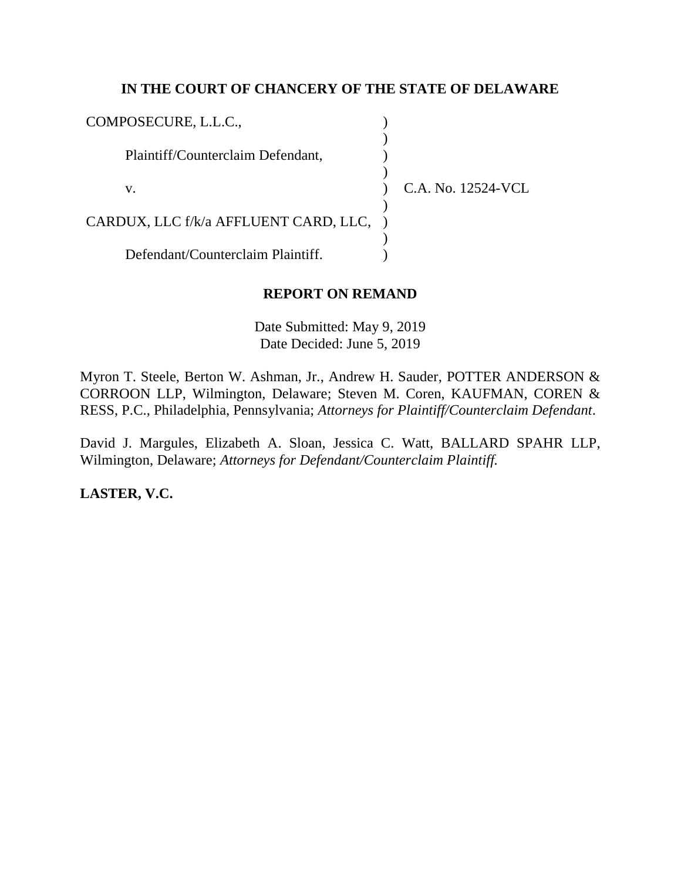## **IN THE COURT OF CHANCERY OF THE STATE OF DELAWARE**

| COMPOSECURE, L.L.C.,                  |                    |
|---------------------------------------|--------------------|
| Plaintiff/Counterclaim Defendant,     |                    |
| V.                                    | C.A. No. 12524-VCL |
| CARDUX, LLC f/k/a AFFLUENT CARD, LLC, |                    |
| Defendant/Counterclaim Plaintiff.     |                    |

## **REPORT ON REMAND**

Date Submitted: May 9, 2019 Date Decided: June 5, 2019

Myron T. Steele, Berton W. Ashman, Jr., Andrew H. Sauder, POTTER ANDERSON & CORROON LLP, Wilmington, Delaware; Steven M. Coren, KAUFMAN, COREN & RESS, P.C., Philadelphia, Pennsylvania; *Attorneys for Plaintiff/Counterclaim Defendant*.

David J. Margules, Elizabeth A. Sloan, Jessica C. Watt, BALLARD SPAHR LLP, Wilmington, Delaware; *Attorneys for Defendant/Counterclaim Plaintiff.*

**LASTER, V.C.**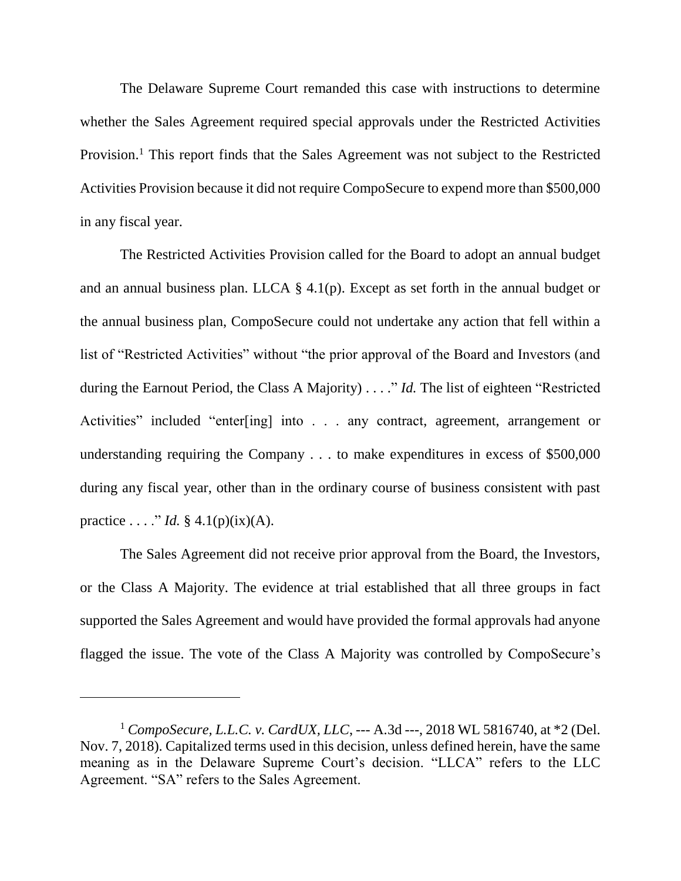The Delaware Supreme Court remanded this case with instructions to determine whether the Sales Agreement required special approvals under the Restricted Activities Provision.<sup>1</sup> This report finds that the Sales Agreement was not subject to the Restricted Activities Provision because it did not require CompoSecure to expend more than \$500,000 in any fiscal year.

The Restricted Activities Provision called for the Board to adopt an annual budget and an annual business plan. LLCA  $\S$  4.1(p). Except as set forth in the annual budget or the annual business plan, CompoSecure could not undertake any action that fell within a list of "Restricted Activities" without "the prior approval of the Board and Investors (and during the Earnout Period, the Class A Majority) . . . ." *Id.* The list of eighteen "Restricted Activities" included "enter[ing] into . . . any contract, agreement, arrangement or understanding requiring the Company . . . to make expenditures in excess of \$500,000 during any fiscal year, other than in the ordinary course of business consistent with past practice  $\ldots$  " *Id.* § 4.1(p)(ix)(A).

The Sales Agreement did not receive prior approval from the Board, the Investors, or the Class A Majority. The evidence at trial established that all three groups in fact supported the Sales Agreement and would have provided the formal approvals had anyone flagged the issue. The vote of the Class A Majority was controlled by CompoSecure's

<sup>1</sup> *CompoSecure, L.L.C. v. CardUX, LLC*, --- A.3d ---, 2018 WL 5816740, at \*2 (Del. Nov. 7, 2018). Capitalized terms used in this decision, unless defined herein, have the same meaning as in the Delaware Supreme Court's decision. "LLCA" refers to the LLC Agreement. "SA" refers to the Sales Agreement.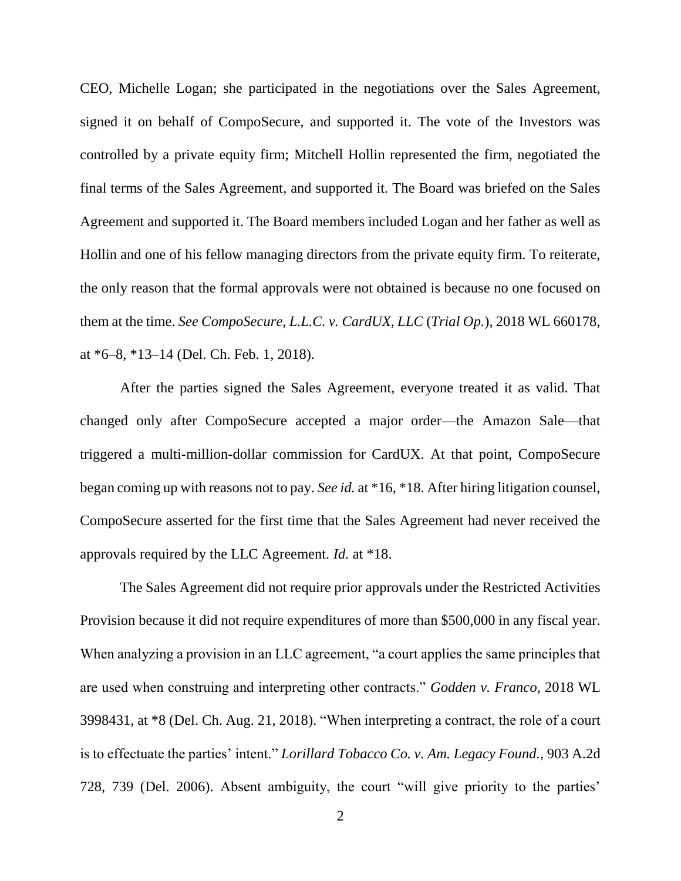CEO, Michelle Logan; she participated in the negotiations over the Sales Agreement, signed it on behalf of CompoSecure, and supported it. The vote of the Investors was controlled by a private equity firm; Mitchell Hollin represented the firm, negotiated the final terms of the Sales Agreement, and supported it. The Board was briefed on the Sales Agreement and supported it. The Board members included Logan and her father as well as Hollin and one of his fellow managing directors from the private equity firm. To reiterate, the only reason that the formal approvals were not obtained is because no one focused on them at the time. *See CompoSecure, L.L.C. v. CardUX, LLC* (*Trial Op.*), 2018 WL 660178, at \*6–8, \*13–14 (Del. Ch. Feb. 1, 2018).

After the parties signed the Sales Agreement, everyone treated it as valid. That changed only after CompoSecure accepted a major order—the Amazon Sale—that triggered a multi-million-dollar commission for CardUX. At that point, CompoSecure began coming up with reasons not to pay. *See id.* at \*16, \*18. After hiring litigation counsel, CompoSecure asserted for the first time that the Sales Agreement had never received the approvals required by the LLC Agreement. *Id.* at \*18.

The Sales Agreement did not require prior approvals under the Restricted Activities Provision because it did not require expenditures of more than \$500,000 in any fiscal year. When analyzing a provision in an LLC agreement, "a court applies the same principles that are used when construing and interpreting other contracts." *Godden v. Franco*, 2018 WL 3998431, at \*8 (Del. Ch. Aug. 21, 2018). "When interpreting a contract, the role of a court is to effectuate the parties' intent." *Lorillard Tobacco Co. v. Am. Legacy Found.*, 903 A.2d 728, 739 (Del. 2006). Absent ambiguity, the court "will give priority to the parties'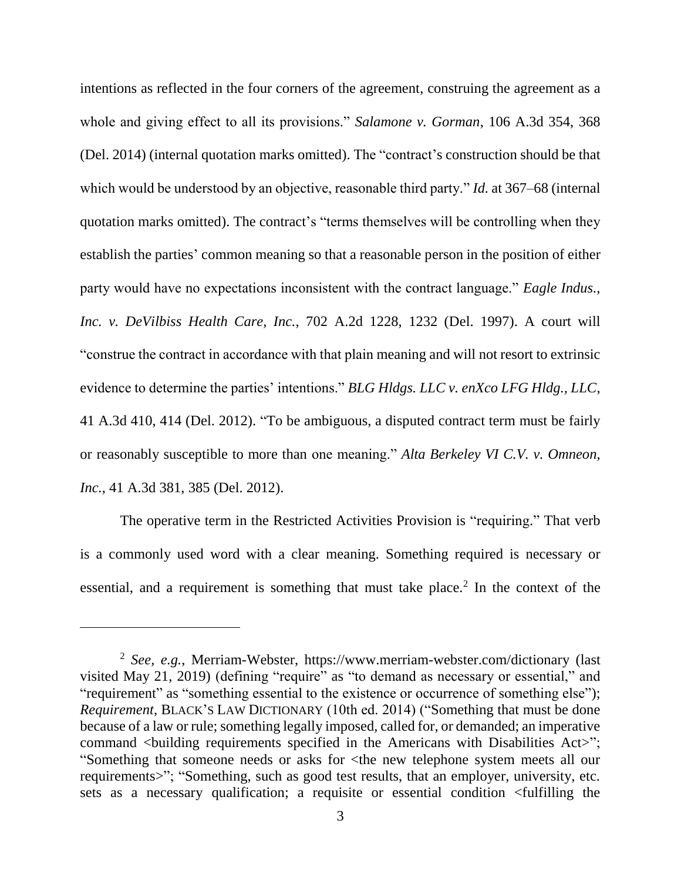intentions as reflected in the four corners of the agreement, construing the agreement as a whole and giving effect to all its provisions." *Salamone v. Gorman*, 106 A.3d 354, 368 (Del. 2014) (internal quotation marks omitted). The "contract's construction should be that which would be understood by an objective, reasonable third party." *Id.* at 367–68 (internal quotation marks omitted). The contract's "terms themselves will be controlling when they establish the parties' common meaning so that a reasonable person in the position of either party would have no expectations inconsistent with the contract language." *Eagle Indus., Inc. v. DeVilbiss Health Care, Inc.*, 702 A.2d 1228, 1232 (Del. 1997). A court will "construe the contract in accordance with that plain meaning and will not resort to extrinsic evidence to determine the parties' intentions." *BLG Hldgs. LLC v. enXco LFG Hldg., LLC*, 41 A.3d 410, 414 (Del. 2012). "To be ambiguous, a disputed contract term must be fairly or reasonably susceptible to more than one meaning." *Alta Berkeley VI C.V. v. Omneon, Inc.*, 41 A.3d 381, 385 (Del. 2012).

The operative term in the Restricted Activities Provision is "requiring." That verb is a commonly used word with a clear meaning. Something required is necessary or essential, and a requirement is something that must take place.<sup>2</sup> In the context of the

 $\overline{a}$ 

<sup>2</sup> *See, e.g.*, Merriam-Webster, https://www.merriam-webster.com/dictionary (last visited May 21, 2019) (defining "require" as "to demand as necessary or essential," and "requirement" as "something essential to the existence or occurrence of something else"); *Requirement*, BLACK'S LAW DICTIONARY (10th ed. 2014) ("Something that must be done because of a law or rule; something legally imposed, called for, or demanded; an imperative command <br/>sbuilding requirements specified in the Americans with Disabilities Act>"; "Something that someone needs or asks for <the new telephone system meets all our requirements>"; "Something, such as good test results, that an employer, university, etc. sets as a necessary qualification; a requisite or essential condition <fulfilling the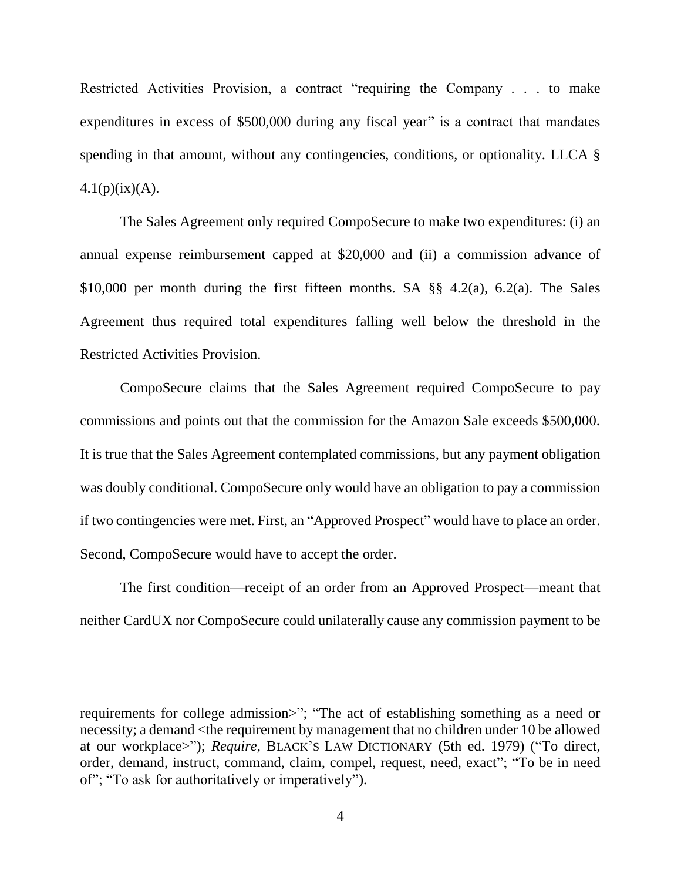Restricted Activities Provision, a contract "requiring the Company . . . to make expenditures in excess of \$500,000 during any fiscal year" is a contract that mandates spending in that amount, without any contingencies, conditions, or optionality. LLCA §  $4.1(p)(ix)(A)$ .

The Sales Agreement only required CompoSecure to make two expenditures: (i) an annual expense reimbursement capped at \$20,000 and (ii) a commission advance of \$10,000 per month during the first fifteen months. SA §§ 4.2(a), 6.2(a). The Sales Agreement thus required total expenditures falling well below the threshold in the Restricted Activities Provision.

CompoSecure claims that the Sales Agreement required CompoSecure to pay commissions and points out that the commission for the Amazon Sale exceeds \$500,000. It is true that the Sales Agreement contemplated commissions, but any payment obligation was doubly conditional. CompoSecure only would have an obligation to pay a commission if two contingencies were met. First, an "Approved Prospect" would have to place an order. Second, CompoSecure would have to accept the order.

The first condition—receipt of an order from an Approved Prospect—meant that neither CardUX nor CompoSecure could unilaterally cause any commission payment to be

 $\overline{a}$ 

requirements for college admission>"; "The act of establishing something as a need or necessity; a demand <the requirement by management that no children under 10 be allowed at our workplace>"); *Require*, BLACK'S LAW DICTIONARY (5th ed. 1979) ("To direct, order, demand, instruct, command, claim, compel, request, need, exact"; "To be in need of"; "To ask for authoritatively or imperatively").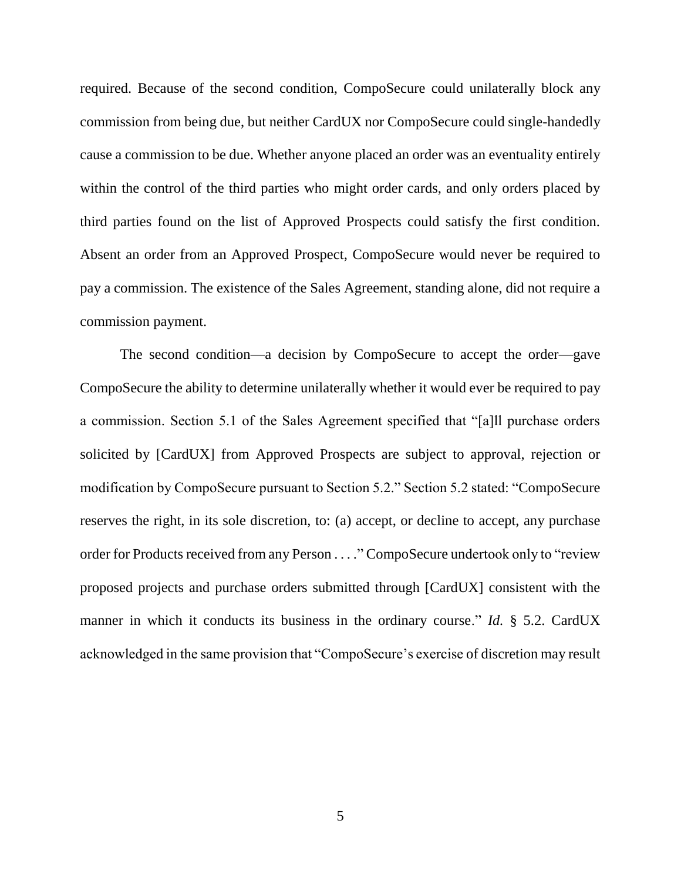required. Because of the second condition, CompoSecure could unilaterally block any commission from being due, but neither CardUX nor CompoSecure could single-handedly cause a commission to be due. Whether anyone placed an order was an eventuality entirely within the control of the third parties who might order cards, and only orders placed by third parties found on the list of Approved Prospects could satisfy the first condition. Absent an order from an Approved Prospect, CompoSecure would never be required to pay a commission. The existence of the Sales Agreement, standing alone, did not require a commission payment.

The second condition—a decision by CompoSecure to accept the order—gave CompoSecure the ability to determine unilaterally whether it would ever be required to pay a commission. Section 5.1 of the Sales Agreement specified that "[a]ll purchase orders solicited by [CardUX] from Approved Prospects are subject to approval, rejection or modification by CompoSecure pursuant to Section 5.2." Section 5.2 stated: "CompoSecure reserves the right, in its sole discretion, to: (a) accept, or decline to accept, any purchase order for Products received from any Person . . . ." CompoSecure undertook only to "review proposed projects and purchase orders submitted through [CardUX] consistent with the manner in which it conducts its business in the ordinary course." *Id.* § 5.2. CardUX acknowledged in the same provision that "CompoSecure's exercise of discretion may result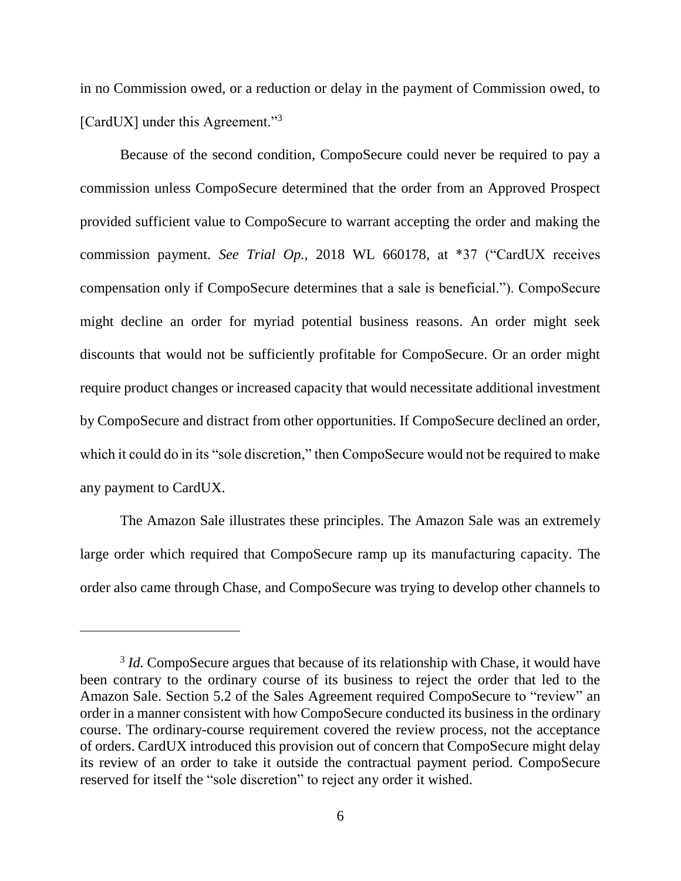in no Commission owed, or a reduction or delay in the payment of Commission owed, to [CardUX] under this Agreement."<sup>3</sup>

Because of the second condition, CompoSecure could never be required to pay a commission unless CompoSecure determined that the order from an Approved Prospect provided sufficient value to CompoSecure to warrant accepting the order and making the commission payment. *See Trial Op.*, 2018 WL 660178, at \*37 ("CardUX receives compensation only if CompoSecure determines that a sale is beneficial."). CompoSecure might decline an order for myriad potential business reasons. An order might seek discounts that would not be sufficiently profitable for CompoSecure. Or an order might require product changes or increased capacity that would necessitate additional investment by CompoSecure and distract from other opportunities. If CompoSecure declined an order, which it could do in its "sole discretion," then CompoSecure would not be required to make any payment to CardUX.

The Amazon Sale illustrates these principles. The Amazon Sale was an extremely large order which required that CompoSecure ramp up its manufacturing capacity. The order also came through Chase, and CompoSecure was trying to develop other channels to

 $\overline{a}$ 

<sup>&</sup>lt;sup>3</sup> *Id*. CompoSecure argues that because of its relationship with Chase, it would have been contrary to the ordinary course of its business to reject the order that led to the Amazon Sale. Section 5.2 of the Sales Agreement required CompoSecure to "review" an order in a manner consistent with how CompoSecure conducted its business in the ordinary course. The ordinary-course requirement covered the review process, not the acceptance of orders. CardUX introduced this provision out of concern that CompoSecure might delay its review of an order to take it outside the contractual payment period. CompoSecure reserved for itself the "sole discretion" to reject any order it wished.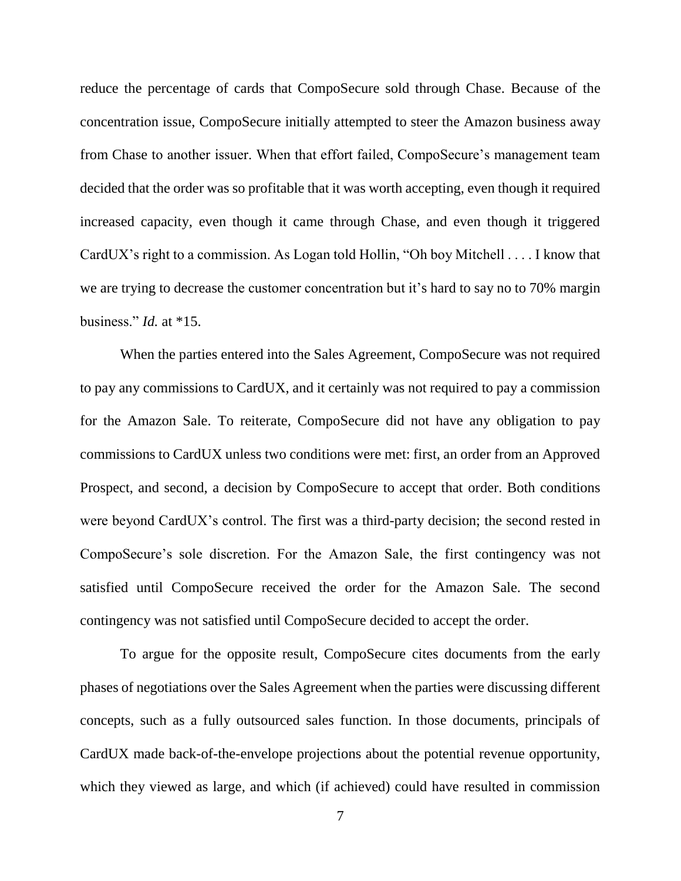reduce the percentage of cards that CompoSecure sold through Chase. Because of the concentration issue, CompoSecure initially attempted to steer the Amazon business away from Chase to another issuer. When that effort failed, CompoSecure's management team decided that the order was so profitable that it was worth accepting, even though it required increased capacity, even though it came through Chase, and even though it triggered CardUX's right to a commission. As Logan told Hollin, "Oh boy Mitchell . . . . I know that we are trying to decrease the customer concentration but it's hard to say no to 70% margin business." *Id.* at \*15.

When the parties entered into the Sales Agreement, CompoSecure was not required to pay any commissions to CardUX, and it certainly was not required to pay a commission for the Amazon Sale. To reiterate, CompoSecure did not have any obligation to pay commissions to CardUX unless two conditions were met: first, an order from an Approved Prospect, and second, a decision by CompoSecure to accept that order. Both conditions were beyond CardUX's control. The first was a third-party decision; the second rested in CompoSecure's sole discretion. For the Amazon Sale, the first contingency was not satisfied until CompoSecure received the order for the Amazon Sale. The second contingency was not satisfied until CompoSecure decided to accept the order.

To argue for the opposite result, CompoSecure cites documents from the early phases of negotiations over the Sales Agreement when the parties were discussing different concepts, such as a fully outsourced sales function. In those documents, principals of CardUX made back-of-the-envelope projections about the potential revenue opportunity, which they viewed as large, and which (if achieved) could have resulted in commission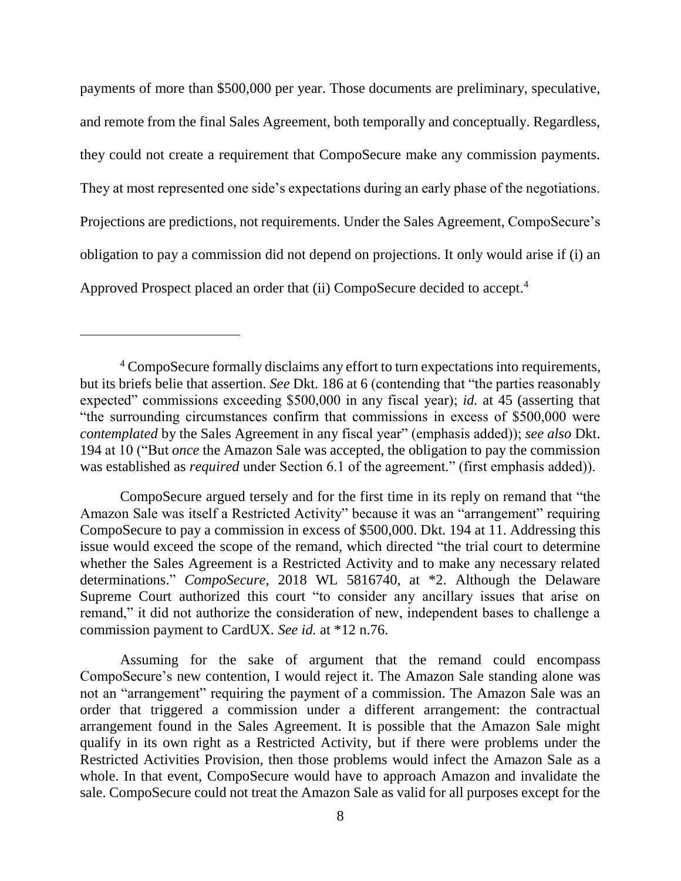payments of more than \$500,000 per year. Those documents are preliminary, speculative, and remote from the final Sales Agreement, both temporally and conceptually. Regardless, they could not create a requirement that CompoSecure make any commission payments. They at most represented one side's expectations during an early phase of the negotiations. Projections are predictions, not requirements. Under the Sales Agreement, CompoSecure's obligation to pay a commission did not depend on projections. It only would arise if (i) an Approved Prospect placed an order that (ii) CompoSecure decided to accept.<sup>4</sup>

CompoSecure argued tersely and for the first time in its reply on remand that "the Amazon Sale was itself a Restricted Activity" because it was an "arrangement" requiring CompoSecure to pay a commission in excess of \$500,000. Dkt. 194 at 11. Addressing this issue would exceed the scope of the remand, which directed "the trial court to determine whether the Sales Agreement is a Restricted Activity and to make any necessary related determinations." *CompoSecure*, 2018 WL 5816740, at \*2. Although the Delaware Supreme Court authorized this court "to consider any ancillary issues that arise on remand," it did not authorize the consideration of new, independent bases to challenge a commission payment to CardUX. *See id.* at \*12 n.76.

Assuming for the sake of argument that the remand could encompass CompoSecure's new contention, I would reject it. The Amazon Sale standing alone was not an "arrangement" requiring the payment of a commission. The Amazon Sale was an order that triggered a commission under a different arrangement: the contractual arrangement found in the Sales Agreement. It is possible that the Amazon Sale might qualify in its own right as a Restricted Activity, but if there were problems under the Restricted Activities Provision, then those problems would infect the Amazon Sale as a whole. In that event, CompoSecure would have to approach Amazon and invalidate the sale. CompoSecure could not treat the Amazon Sale as valid for all purposes except for the

<sup>4</sup> CompoSecure formally disclaims any effort to turn expectations into requirements, but its briefs belie that assertion. *See* Dkt. 186 at 6 (contending that "the parties reasonably expected" commissions exceeding \$500,000 in any fiscal year); *id.* at 45 (asserting that "the surrounding circumstances confirm that commissions in excess of \$500,000 were *contemplated* by the Sales Agreement in any fiscal year" (emphasis added)); *see also* Dkt. 194 at 10 ("But *once* the Amazon Sale was accepted, the obligation to pay the commission was established as *required* under Section 6.1 of the agreement." (first emphasis added)).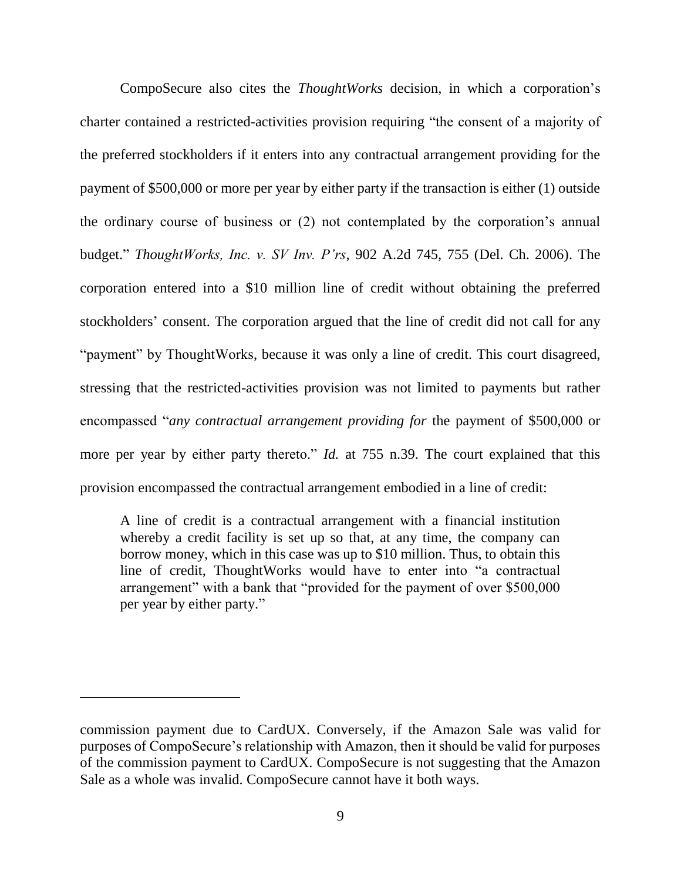CompoSecure also cites the *ThoughtWorks* decision, in which a corporation's charter contained a restricted-activities provision requiring "the consent of a majority of the preferred stockholders if it enters into any contractual arrangement providing for the payment of \$500,000 or more per year by either party if the transaction is either (1) outside the ordinary course of business or (2) not contemplated by the corporation's annual budget." *ThoughtWorks, Inc. v. SV Inv. P'rs*, 902 A.2d 745, 755 (Del. Ch. 2006). The corporation entered into a \$10 million line of credit without obtaining the preferred stockholders' consent. The corporation argued that the line of credit did not call for any "payment" by ThoughtWorks, because it was only a line of credit. This court disagreed, stressing that the restricted-activities provision was not limited to payments but rather encompassed "*any contractual arrangement providing for* the payment of \$500,000 or more per year by either party thereto." *Id.* at 755 n.39. The court explained that this provision encompassed the contractual arrangement embodied in a line of credit:

A line of credit is a contractual arrangement with a financial institution whereby a credit facility is set up so that, at any time, the company can borrow money, which in this case was up to \$10 million. Thus, to obtain this line of credit, ThoughtWorks would have to enter into "a contractual arrangement" with a bank that "provided for the payment of over \$500,000 per year by either party."

commission payment due to CardUX. Conversely, if the Amazon Sale was valid for purposes of CompoSecure's relationship with Amazon, then it should be valid for purposes of the commission payment to CardUX. CompoSecure is not suggesting that the Amazon Sale as a whole was invalid. CompoSecure cannot have it both ways.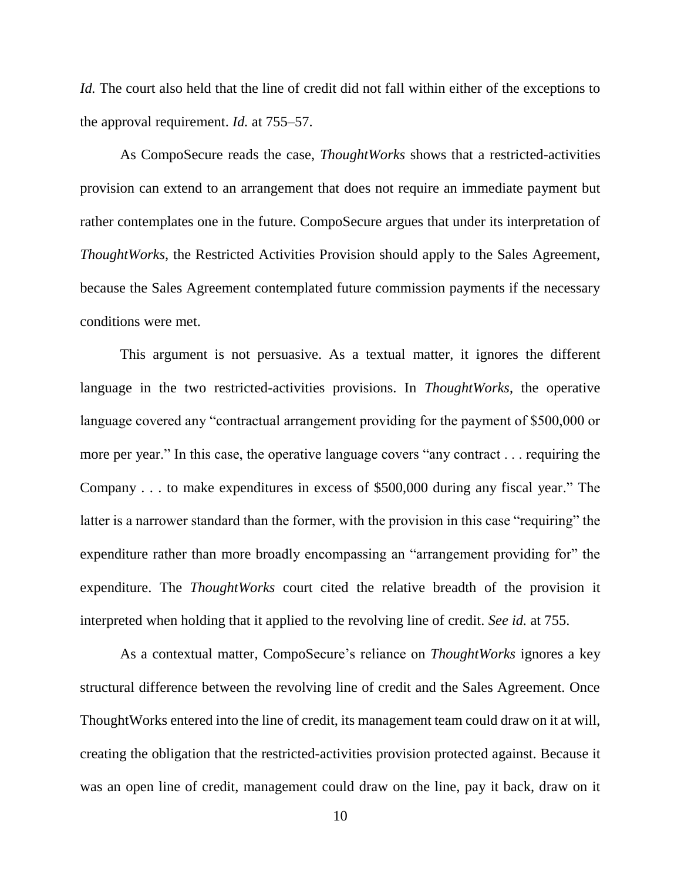*Id.* The court also held that the line of credit did not fall within either of the exceptions to the approval requirement. *Id.* at 755–57.

As CompoSecure reads the case, *ThoughtWorks* shows that a restricted-activities provision can extend to an arrangement that does not require an immediate payment but rather contemplates one in the future. CompoSecure argues that under its interpretation of *ThoughtWorks*, the Restricted Activities Provision should apply to the Sales Agreement, because the Sales Agreement contemplated future commission payments if the necessary conditions were met.

This argument is not persuasive. As a textual matter, it ignores the different language in the two restricted-activities provisions. In *ThoughtWorks*, the operative language covered any "contractual arrangement providing for the payment of \$500,000 or more per year." In this case, the operative language covers "any contract . . . requiring the Company . . . to make expenditures in excess of \$500,000 during any fiscal year." The latter is a narrower standard than the former, with the provision in this case "requiring" the expenditure rather than more broadly encompassing an "arrangement providing for" the expenditure. The *ThoughtWorks* court cited the relative breadth of the provision it interpreted when holding that it applied to the revolving line of credit. *See id.* at 755.

As a contextual matter, CompoSecure's reliance on *ThoughtWorks* ignores a key structural difference between the revolving line of credit and the Sales Agreement. Once ThoughtWorks entered into the line of credit, its management team could draw on it at will, creating the obligation that the restricted-activities provision protected against. Because it was an open line of credit, management could draw on the line, pay it back, draw on it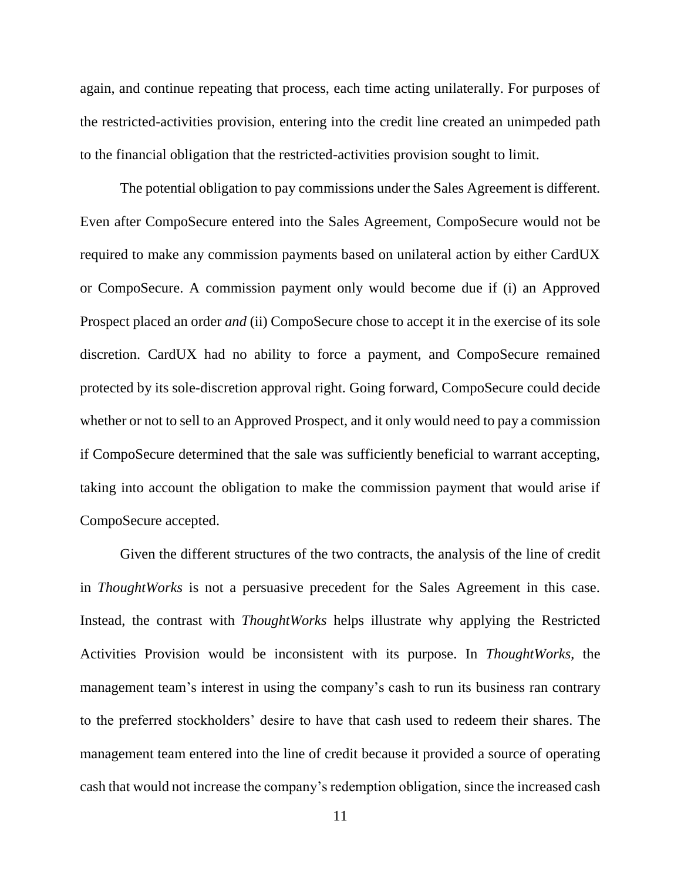again, and continue repeating that process, each time acting unilaterally. For purposes of the restricted-activities provision, entering into the credit line created an unimpeded path to the financial obligation that the restricted-activities provision sought to limit.

The potential obligation to pay commissions under the Sales Agreement is different. Even after CompoSecure entered into the Sales Agreement, CompoSecure would not be required to make any commission payments based on unilateral action by either CardUX or CompoSecure. A commission payment only would become due if (i) an Approved Prospect placed an order *and* (ii) CompoSecure chose to accept it in the exercise of its sole discretion. CardUX had no ability to force a payment, and CompoSecure remained protected by its sole-discretion approval right. Going forward, CompoSecure could decide whether or not to sell to an Approved Prospect, and it only would need to pay a commission if CompoSecure determined that the sale was sufficiently beneficial to warrant accepting, taking into account the obligation to make the commission payment that would arise if CompoSecure accepted.

Given the different structures of the two contracts, the analysis of the line of credit in *ThoughtWorks* is not a persuasive precedent for the Sales Agreement in this case. Instead, the contrast with *ThoughtWorks* helps illustrate why applying the Restricted Activities Provision would be inconsistent with its purpose. In *ThoughtWorks*, the management team's interest in using the company's cash to run its business ran contrary to the preferred stockholders' desire to have that cash used to redeem their shares. The management team entered into the line of credit because it provided a source of operating cash that would not increase the company's redemption obligation, since the increased cash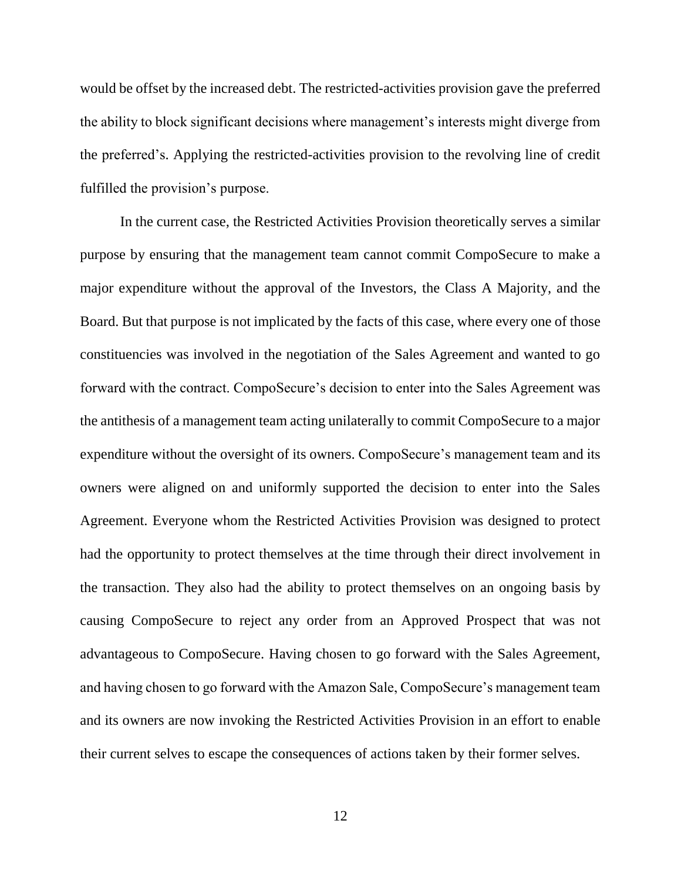would be offset by the increased debt. The restricted-activities provision gave the preferred the ability to block significant decisions where management's interests might diverge from the preferred's. Applying the restricted-activities provision to the revolving line of credit fulfilled the provision's purpose.

In the current case, the Restricted Activities Provision theoretically serves a similar purpose by ensuring that the management team cannot commit CompoSecure to make a major expenditure without the approval of the Investors, the Class A Majority, and the Board. But that purpose is not implicated by the facts of this case, where every one of those constituencies was involved in the negotiation of the Sales Agreement and wanted to go forward with the contract. CompoSecure's decision to enter into the Sales Agreement was the antithesis of a management team acting unilaterally to commit CompoSecure to a major expenditure without the oversight of its owners. CompoSecure's management team and its owners were aligned on and uniformly supported the decision to enter into the Sales Agreement. Everyone whom the Restricted Activities Provision was designed to protect had the opportunity to protect themselves at the time through their direct involvement in the transaction. They also had the ability to protect themselves on an ongoing basis by causing CompoSecure to reject any order from an Approved Prospect that was not advantageous to CompoSecure. Having chosen to go forward with the Sales Agreement, and having chosen to go forward with the Amazon Sale, CompoSecure's management team and its owners are now invoking the Restricted Activities Provision in an effort to enable their current selves to escape the consequences of actions taken by their former selves.